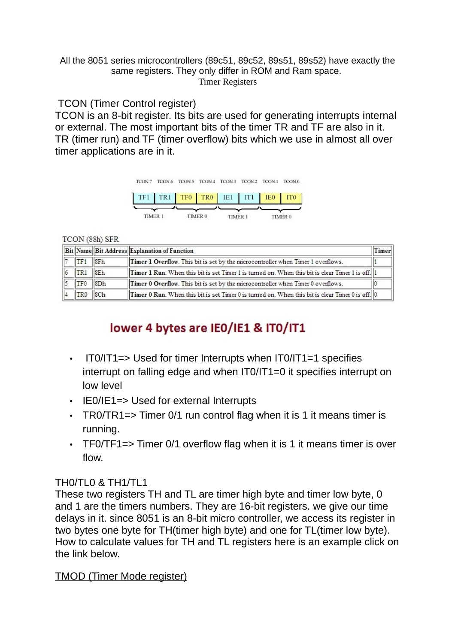#### All the 8051 series microcontrollers (89c51, 89c52, 89s51, 89s52) have exactly the same registers. They only differ in ROM and Ram space. Timer Registers

#### TCON (Timer Control register)

TCON is an 8-bit register. Its bits are used for generating interrupts internal or external. The most important bits of the timer TR and TF are also in it. TR (timer run) and TF (timer overflow) bits which we use in almost all over timer applications are in it.



#### TCON (88h) SFR

|               |                                                                                           |                            | <b>Bit Name Bit Address Explanation of Function</b>                                                    | Timer |
|---------------|-------------------------------------------------------------------------------------------|----------------------------|--------------------------------------------------------------------------------------------------------|-------|
|               | TF1                                                                                       | $\parallel$ <sub>SFh</sub> | Timer 1 Overflow. This bit is set by the microcontroller when Timer 1 overflows.                       |       |
| $\frac{1}{6}$ | TR1                                                                                       | 8Eh                        | $\ $ Timer 1 Run. When this bit is set Timer 1 is turned on. When this bit is clear Timer 1 is off.    |       |
|               | $\overline{5}$ $\overline{1}$ $\overline{1}$ $\overline{1}$ $\overline{5}$ $\overline{0}$ | SDh                        | Timer 0 Overflow. This bit is set by the microcontroller when Timer 0 overflows.                       |       |
|               | TR0                                                                                       | SCh                        | <b>Timer 0 Run</b> . When this bit is set Timer 0 is turned on. When this bit is clear Timer 0 is off. |       |

# lower 4 bytes are IEO/IE1 & ITO/IT1

- IT0/IT1=> Used for timer Interrupts when IT0/IT1=1 specifies interrupt on falling edge and when IT0/IT1=0 it specifies interrupt on low level
- IE0/IE1=> Used for external Interrupts
- TRO/TR1=> Timer O/1 run control flag when it is 1 it means timer is running.
- TF0/TF1=> Timer 0/1 overflow flag when it is 1 it means timer is over flow.

#### TH0/TL0 & TH1/TL1

These two registers TH and TL are timer high byte and timer low byte, 0 and 1 are the timers numbers. They are 16-bit registers. we give our time delays in it. since 8051 is an 8-bit micro controller, we access its register in two bytes one byte for TH(timer high byte) and one for TL(timer low byte). How to calculate values for TH and TL registers here is an example click on the link below.

TMOD (Timer Mode register)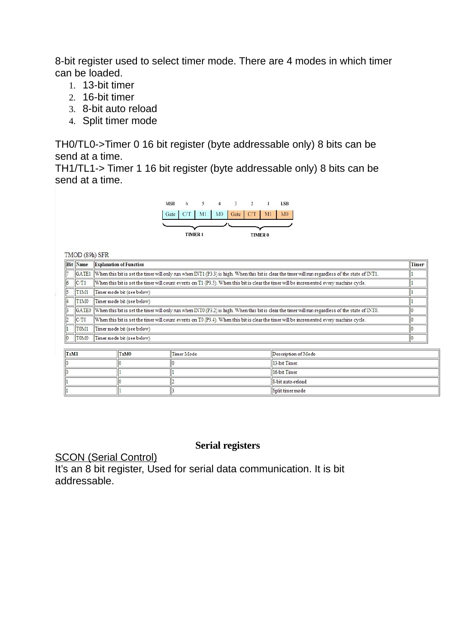8-bit register used to select timer mode. There are 4 modes in which timer can be loaded.

- 1. 13-bit timer
- 2. 16-bit timer
- 3. 8-bit auto reload
- 4. Split timer mode

TH0/TL0->Timer 0 16 bit register (byte addressable only) 8 bits can be send at a time.

TH1/TL1-> Timer 1 16 bit register (byte addressable only) 8 bits can be send at a time.

|      | TMOD (89h) SFR                |                                                                                                                                                   | 3<br><b>MSB</b><br>M <sub>0</sub><br>Gate<br>M1<br>CT<br>Gate<br><b>TIMER1</b> | $\mathcal{P}$<br><b>LSB</b><br>M <sub>0</sub><br>M <sub>1</sub><br>CT<br><b>TIMER 0</b> |  |  |  |  |  |
|------|-------------------------------|---------------------------------------------------------------------------------------------------------------------------------------------------|--------------------------------------------------------------------------------|-----------------------------------------------------------------------------------------|--|--|--|--|--|
|      | <b>Bit</b> Name               | <b>Explanation of Function</b>                                                                                                                    |                                                                                |                                                                                         |  |  |  |  |  |
|      | GATE1                         | When this bit is set the timer will only run when INT1 (P3.3) is high. When this bit is clear the timer will run regardless of the state of INT1. |                                                                                |                                                                                         |  |  |  |  |  |
| 6    | C/T1                          | When this bit is set the timer will count events on T1 (P3.5). When this bit is clear the timer will be incremented every machine cycle.          |                                                                                |                                                                                         |  |  |  |  |  |
|      | T <sub>1</sub> M <sub>1</sub> | Timer mode bit (see below)                                                                                                                        |                                                                                |                                                                                         |  |  |  |  |  |
|      | T <sub>1</sub> M <sub>0</sub> | Timer mode bit (see below)                                                                                                                        |                                                                                |                                                                                         |  |  |  |  |  |
|      | GATE0                         | When this bit is set the timer will only run when INTO (P3.2) is high. When this bit is clear the timer will run regardless of the state of INTO. |                                                                                |                                                                                         |  |  |  |  |  |
|      | C/T0                          | When this bit is set the timer will count events on T0 (P3.4). When this bit is clear the timer will be incremented every machine cycle.          |                                                                                |                                                                                         |  |  |  |  |  |
|      | T0M1                          | Timer mode bit (see below)                                                                                                                        |                                                                                |                                                                                         |  |  |  |  |  |
|      | T0M0                          | Timer mode bit (see below)                                                                                                                        |                                                                                |                                                                                         |  |  |  |  |  |
|      |                               |                                                                                                                                                   |                                                                                |                                                                                         |  |  |  |  |  |
| TxM1 |                               | TxM0                                                                                                                                              | Timer Mode                                                                     | Description of Mode                                                                     |  |  |  |  |  |
|      |                               |                                                                                                                                                   |                                                                                | 13-bit Timer.                                                                           |  |  |  |  |  |
|      |                               |                                                                                                                                                   |                                                                                | 16-bit Timer                                                                            |  |  |  |  |  |

8-bit auto-reload Split timer mode

#### **Serial registers**

SCON (Serial Control)

 $\sqrt{2}$ 

 $\vert$ <sub>1</sub>

It's an 8 bit register, Used for serial data communication. It is bit addressable.

 $\sqrt{2}$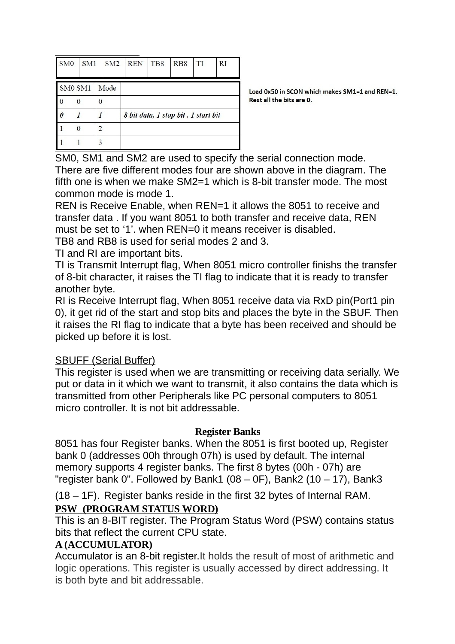| SM <sub>0</sub> | SM <sub>1</sub> |      | SM <sub>2</sub> | <b>REN</b>                          | TB8 | RB <sub>8</sub> | TI | RI |
|-----------------|-----------------|------|-----------------|-------------------------------------|-----|-----------------|----|----|
| SM0 SM1         |                 | Mode |                 |                                     |     |                 |    |    |
| 0               |                 |      |                 |                                     |     |                 |    |    |
| 0               |                 |      |                 | 8 bit data, 1 stop bit, 1 start bit |     |                 |    |    |
|                 |                 | 2    |                 |                                     |     |                 |    |    |
|                 |                 | 3    |                 |                                     |     |                 |    |    |

Load 0x50 in SCON which makes SM1=1 and REN=1. Rest all the hits are 0

SM0, SM1 and SM2 are used to specify the serial connection mode. There are five different modes four are shown above in the diagram. The fifth one is when we make SM2=1 which is 8-bit transfer mode. The most common mode is mode 1.

REN is Receive Enable, when REN=1 it allows the 8051 to receive and transfer data . If you want 8051 to both transfer and receive data, REN must be set to '1'. when REN=0 it means receiver is disabled.

TB8 and RB8 is used for serial modes 2 and 3.

TI and RI are important bits.

TI is Transmit Interrupt flag, When 8051 micro controller finishs the transfer of 8-bit character, it raises the TI flag to indicate that it is ready to transfer another byte.

RI is Receive Interrupt flag, When 8051 receive data via RxD pin(Port1 pin 0), it get rid of the start and stop bits and places the byte in the SBUF. Then it raises the RI flag to indicate that a byte has been received and should be picked up before it is lost.

## SBUFF (Serial Buffer)

This register is used when we are transmitting or receiving data serially. We put or data in it which we want to transmit, it also contains the data which is transmitted from other Peripherals like PC personal computers to 8051 micro controller. It is not bit addressable.

#### **Register Banks**

8051 has four Register banks. When the 8051 is first booted up, Register bank 0 (addresses 00h through 07h) is used by default. The internal memory supports 4 register banks. The first 8 bytes (00h - 07h) are "register bank 0". Followed by Bank1 (08 – 0F), Bank2 (10 – 17), Bank3

(18 – 1F). Register banks reside in the first 32 bytes of Internal RAM.  **PSW (PROGRAM STATUS WORD)**

This is an 8-BIT register. The Program Status Word (PSW) contains status bits that reflect the current CPU state.

#### **A (ACCUMULATOR)**

Accumulator is an 8-bit register.It holds the result of most of arithmetic and logic operations. This register is usually accessed by direct addressing. It is both byte and bit addressable.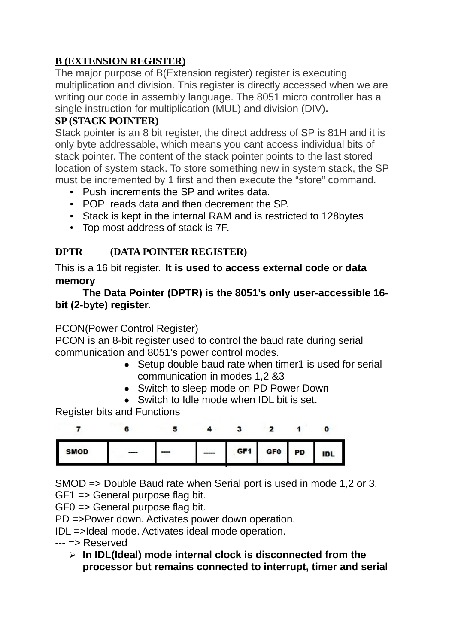## **B (EXTENSION REGISTER)**

The major purpose of B(Extension register) register is executing multiplication and division. This register is directly accessed when we are writing our code in assembly language. The 8051 micro controller has a single instruction for multiplication (MUL) and division (DIV)**.**

## **SP (STACK POINTER)**

Stack pointer is an 8 bit register, the direct address of SP is 81H and it is only byte addressable, which means you cant access individual bits of stack pointer. The content of the stack pointer points to the last stored location of system stack. To store something new in system stack, the SP must be incremented by 1 first and then execute the "store" command.

- Push increments the SP and writes data.
- POP reads data and then decrement the SP.
- Stack is kept in the internal RAM and is restricted to 128bytes
- Top most address of stack is 7F.

## **DPTR (DATA POINTER REGISTER)**

This is a 16 bit register. **It is used to access external code or data memory**

### **The Data Pointer (DPTR) is the 8051's only user-accessible 16 bit (2-byte) register.**

## PCON(Power Control Register)

PCON is an 8-bit register used to control the baud rate during serial communication and 8051's power control modes.

- Setup double baud rate when timer1 is used for serial communication in modes 1,2 &3
- Switch to sleep mode on PD Power Down
- Switch to Idle mode when IDL bit is set.

Register bits and Functions



SMOD => Double Baud rate when Serial port is used in mode 1,2 or 3.

GF1 => General purpose flag bit.

GF0 => General purpose flag bit.

PD =>Power down. Activates power down operation.

IDL =>Ideal mode. Activates ideal mode operation.

--- => Reserved

 **In IDL(Ideal) mode internal clock is disconnected from the processor but remains connected to interrupt, timer and serial**